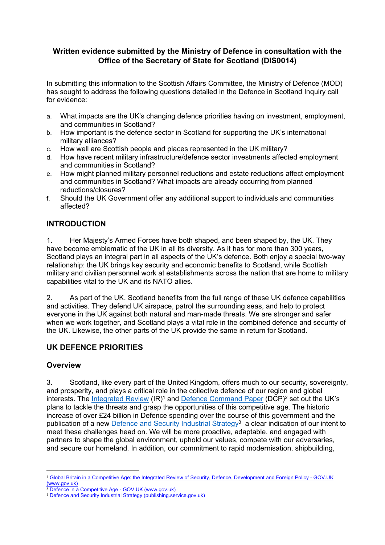## **Written evidence submitted by the Ministry of Defence in consultation with the Office of the Secretary of State for Scotland (DIS0014)**

In submitting this information to the Scottish Affairs Committee, the Ministry of Defence (MOD) has sought to address the following questions detailed in the Defence in Scotland Inquiry call for evidence:

- a. What impacts are the UK's changing defence priorities having on investment, employment, and communities in Scotland?
- b. How important is the defence sector in Scotland for supporting the UK's international military alliances?
- c. How well are Scottish people and places represented in the UK military?
- d. How have recent military infrastructure/defence sector investments affected employment and communities in Scotland?
- e. How might planned military personnel reductions and estate reductions affect employment and communities in Scotland? What impacts are already occurring from planned reductions/closures?
- f. Should the UK Government offer any additional support to individuals and communities affected?

## **INTRODUCTION**

1. Her Majesty's Armed Forces have both shaped, and been shaped by, the UK. They have become emblematic of the UK in all its diversity. As it has for more than 300 years, Scotland plays an integral part in all aspects of the UK's defence. Both enjoy a special two-way relationship: the UK brings key security and economic benefits to Scotland, while Scottish military and civilian personnel work at establishments across the nation that are home to military capabilities vital to the UK and its NATO allies.

2. As part of the UK, Scotland benefits from the full range of these UK defence capabilities and activities. They defend UK airspace, patrol the surrounding seas, and help to protect everyone in the UK against both natural and man-made threats. We are stronger and safer when we work together, and Scotland plays a vital role in the combined defence and security of the UK. Likewise, the other parts of the UK provide the same in return for Scotland.

#### **UK DEFENCE PRIORITIES**

#### **Overview**

3. Scotland, like every part of the United Kingdom, offers much to our security, sovereignty, and prosperity, and plays a critical role in the collective defence of our region and global interests. The [Integrated](https://www.gov.uk/government/publications/global-britain-in-a-competitive-age-the-integrated-review-of-security-defence-development-and-foreign-policy) [Review](https://www.gov.uk/government/publications/global-britain-in-a-competitive-age-the-integrated-review-of-security-defence-development-and-foreign-policy) (IR)<sup>1</sup> and [Defence](https://www.gov.uk/government/publications/defence-in-a-competitive-age) [Command](https://www.gov.uk/government/publications/defence-in-a-competitive-age) [Paper](https://www.gov.uk/government/publications/defence-in-a-competitive-age) (DCP)<sup>2</sup> set out the UK's plans to tackle the threats and grasp the opportunities of this competitive age. The historic increase of over £24 billion in Defence spending over the course of this government and the publication of a new **[Defence](https://assets.publishing.service.gov.uk/government/uploads/system/uploads/attachment_data/file/971983/Defence_and_Security_Industrial_Strategy_-_FINAL.pdf) [and](https://assets.publishing.service.gov.uk/government/uploads/system/uploads/attachment_data/file/971983/Defence_and_Security_Industrial_Strategy_-_FINAL.pdf) [Security](https://assets.publishing.service.gov.uk/government/uploads/system/uploads/attachment_data/file/971983/Defence_and_Security_Industrial_Strategy_-_FINAL.pdf) [Industrial](https://assets.publishing.service.gov.uk/government/uploads/system/uploads/attachment_data/file/971983/Defence_and_Security_Industrial_Strategy_-_FINAL.pdf) [Strategy](https://assets.publishing.service.gov.uk/government/uploads/system/uploads/attachment_data/file/971983/Defence_and_Security_Industrial_Strategy_-_FINAL.pdf)**<sup>3</sup> a clear indication of our intent to meet these challenges head on. We will be more proactive, adaptable, and engaged with partners to shape the global environment, uphold our values, compete with our adversaries, and secure our homeland. In addition, our commitment to rapid modernisation, shipbuilding,

<sup>1</sup> [Global](https://www.gov.uk/government/publications/global-britain-in-a-competitive-age-the-integrated-review-of-security-defence-development-and-foreign-policy) [Britain](https://www.gov.uk/government/publications/global-britain-in-a-competitive-age-the-integrated-review-of-security-defence-development-and-foreign-policy) [in](https://www.gov.uk/government/publications/global-britain-in-a-competitive-age-the-integrated-review-of-security-defence-development-and-foreign-policy) [a](https://www.gov.uk/government/publications/global-britain-in-a-competitive-age-the-integrated-review-of-security-defence-development-and-foreign-policy) [Competitive](https://www.gov.uk/government/publications/global-britain-in-a-competitive-age-the-integrated-review-of-security-defence-development-and-foreign-policy) [Age:](https://www.gov.uk/government/publications/global-britain-in-a-competitive-age-the-integrated-review-of-security-defence-development-and-foreign-policy) [the](https://www.gov.uk/government/publications/global-britain-in-a-competitive-age-the-integrated-review-of-security-defence-development-and-foreign-policy) [Integrated](https://www.gov.uk/government/publications/global-britain-in-a-competitive-age-the-integrated-review-of-security-defence-development-and-foreign-policy) [Review](https://www.gov.uk/government/publications/global-britain-in-a-competitive-age-the-integrated-review-of-security-defence-development-and-foreign-policy) [of](https://www.gov.uk/government/publications/global-britain-in-a-competitive-age-the-integrated-review-of-security-defence-development-and-foreign-policy) [Security,](https://www.gov.uk/government/publications/global-britain-in-a-competitive-age-the-integrated-review-of-security-defence-development-and-foreign-policy) [Defence,](https://www.gov.uk/government/publications/global-britain-in-a-competitive-age-the-integrated-review-of-security-defence-development-and-foreign-policy) [Development](https://www.gov.uk/government/publications/global-britain-in-a-competitive-age-the-integrated-review-of-security-defence-development-and-foreign-policy) [and](https://www.gov.uk/government/publications/global-britain-in-a-competitive-age-the-integrated-review-of-security-defence-development-and-foreign-policy) [Foreign](https://www.gov.uk/government/publications/global-britain-in-a-competitive-age-the-integrated-review-of-security-defence-development-and-foreign-policy) [Policy](https://www.gov.uk/government/publications/global-britain-in-a-competitive-age-the-integrated-review-of-security-defence-development-and-foreign-policy) [-](https://www.gov.uk/government/publications/global-britain-in-a-competitive-age-the-integrated-review-of-security-defence-development-and-foreign-policy) [GOV.UK](https://www.gov.uk/government/publications/global-britain-in-a-competitive-age-the-integrated-review-of-security-defence-development-and-foreign-policy) [\(www.gov.uk\)](https://www.gov.uk/government/publications/global-britain-in-a-competitive-age-the-integrated-review-of-security-defence-development-and-foreign-policy)

<sup>&</sup>lt;sup>2</sup> [Defence](https://www.gov.uk/government/publications/defence-in-a-competitive-age) [in](https://www.gov.uk/government/publications/defence-in-a-competitive-age) [a](https://www.gov.uk/government/publications/defence-in-a-competitive-age) [Competitive](https://www.gov.uk/government/publications/defence-in-a-competitive-age) [Age](https://www.gov.uk/government/publications/defence-in-a-competitive-age) [-](https://www.gov.uk/government/publications/defence-in-a-competitive-age) [GOV.UK](https://www.gov.uk/government/publications/defence-in-a-competitive-age) [\(www.gov.uk\)](https://www.gov.uk/government/publications/defence-in-a-competitive-age)

<sup>&</sup>lt;sup>3</sup> [Defence](https://assets.publishing.service.gov.uk/government/uploads/system/uploads/attachment_data/file/971983/Defence_and_Security_Industrial_Strategy_-_FINAL.pdf) [and](https://assets.publishing.service.gov.uk/government/uploads/system/uploads/attachment_data/file/971983/Defence_and_Security_Industrial_Strategy_-_FINAL.pdf) [Security](https://assets.publishing.service.gov.uk/government/uploads/system/uploads/attachment_data/file/971983/Defence_and_Security_Industrial_Strategy_-_FINAL.pdf) [Industrial](https://assets.publishing.service.gov.uk/government/uploads/system/uploads/attachment_data/file/971983/Defence_and_Security_Industrial_Strategy_-_FINAL.pdf) [Strategy](https://assets.publishing.service.gov.uk/government/uploads/system/uploads/attachment_data/file/971983/Defence_and_Security_Industrial_Strategy_-_FINAL.pdf) [\(publishing.service.gov.uk\)](https://assets.publishing.service.gov.uk/government/uploads/system/uploads/attachment_data/file/971983/Defence_and_Security_Industrial_Strategy_-_FINAL.pdf)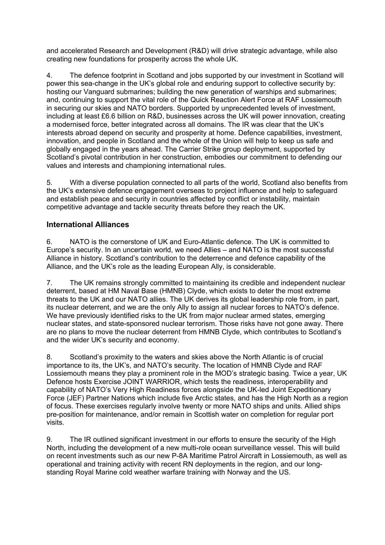and accelerated Research and Development (R&D) will drive strategic advantage, while also creating new foundations for prosperity across the whole UK.

4. The defence footprint in Scotland and jobs supported by our investment in Scotland will power this sea-change in the UK's global role and enduring support to collective security by: hosting our Vanguard submarines; building the new generation of warships and submarines; and, continuing to support the vital role of the Quick Reaction Alert Force at RAF Lossiemouth in securing our skies and NATO borders. Supported by unprecedented levels of investment, including at least £6.6 billion on R&D, businesses across the UK will power innovation, creating a modernised force, better integrated across all domains. The IR was clear that the UK's interests abroad depend on security and prosperity at home. Defence capabilities, investment, innovation, and people in Scotland and the whole of the Union will help to keep us safe and globally engaged in the years ahead. The Carrier Strike group deployment, supported by Scotland's pivotal contribution in her construction, embodies our commitment to defending our values and interests and championing international rules.

5. With a diverse population connected to all parts of the world, Scotland also benefits from the UK's extensive defence engagement overseas to project influence and help to safeguard and establish peace and security in countries affected by conflict or instability, maintain competitive advantage and tackle security threats before they reach the UK.

#### **International Alliances**

6. NATO is the cornerstone of UK and Euro-Atlantic defence. The UK is committed to Europe's security. In an uncertain world, we need Allies – and NATO is the most successful Alliance in history. Scotland's contribution to the deterrence and defence capability of the Alliance, and the UK's role as the leading European Ally, is considerable.

7. The UK remains strongly committed to maintaining its credible and independent nuclear deterrent, based at HM Naval Base (HMNB) Clyde, which exists to deter the most extreme threats to the UK and our NATO allies. The UK derives its global leadership role from, in part, its nuclear deterrent, and we are the only Ally to assign all nuclear forces to NATO's defence. We have previously identified risks to the UK from major nuclear armed states, emerging nuclear states, and state-sponsored nuclear terrorism. Those risks have not gone away. There are no plans to move the nuclear deterrent from HMNB Clyde, which contributes to Scotland's and the wider UK's security and economy.

8. Scotland's proximity to the waters and skies above the North Atlantic is of crucial importance to its, the UK's, and NATO's security. The location of HMNB Clyde and RAF Lossiemouth means they play a prominent role in the MOD's strategic basing. Twice a year, UK Defence hosts Exercise JOINT WARRIOR, which tests the readiness, interoperability and capability of NATO's Very High Readiness forces alongside the UK-led Joint Expeditionary Force (JEF) Partner Nations which include five Arctic states, and has the High North as a region of focus. These exercises regularly involve twenty or more NATO ships and units. Allied ships pre-position for maintenance, and/or remain in Scottish water on completion for regular port visits.

9. The IR outlined significant investment in our efforts to ensure the security of the High North, including the development of a new multi-role ocean surveillance vessel. This will build on recent investments such as our new P-8A Maritime Patrol Aircraft in Lossiemouth, as well as operational and training activity with recent RN deployments in the region, and our longstanding Royal Marine cold weather warfare training with Norway and the US.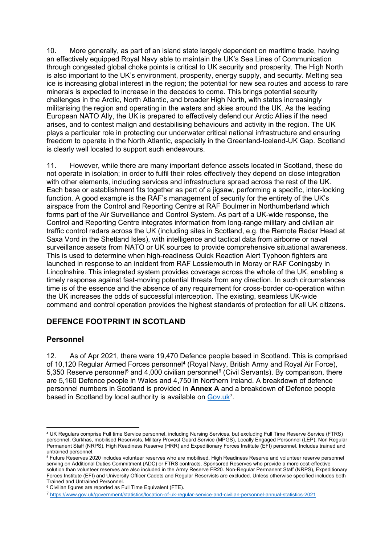10. More generally, as part of an island state largely dependent on maritime trade, having an effectively equipped Royal Navy able to maintain the UK's Sea Lines of Communication through congested global choke points is critical to UK security and prosperity. The High North is also important to the UK's environment, prosperity, energy supply, and security. Melting sea ice is increasing global interest in the region; the potential for new sea routes and access to rare minerals is expected to increase in the decades to come. This brings potential security challenges in the Arctic, North Atlantic, and broader High North, with states increasingly militarising the region and operating in the waters and skies around the UK. As the leading European NATO Ally, the UK is prepared to effectively defend our Arctic Allies if the need arises, and to contest malign and destabilising behaviours and activity in the region. The UK plays a particular role in protecting our underwater critical national infrastructure and ensuring freedom to operate in the North Atlantic, especially in the Greenland-Iceland-UK Gap. Scotland is clearly well located to support such endeavours.

11. However, while there are many important defence assets located in Scotland, these do not operate in isolation; in order to fulfil their roles effectively they depend on close integration with other elements, including services and infrastructure spread across the rest of the UK. Each base or establishment fits together as part of a jigsaw, performing a specific, inter-locking function. A good example is the RAF's management of security for the entirety of the UK's airspace from the Control and Reporting Centre at RAF Boulmer in Northumberland which forms part of the Air Surveillance and Control System. As part of a UK-wide response, the Control and Reporting Centre integrates information from long-range military and civilian air traffic control radars across the UK (including sites in Scotland, e.g. the Remote Radar Head at Saxa Vord in the Shetland Isles), with intelligence and tactical data from airborne or naval surveillance assets from NATO or UK sources to provide comprehensive situational awareness. This is used to determine when high-readiness Quick Reaction Alert Typhoon fighters are launched in response to an incident from RAF Lossiemouth in Moray or RAF Coningsby in Lincolnshire. This integrated system provides coverage across the whole of the UK, enabling a timely response against fast-moving potential threats from any direction. In such circumstances time is of the essence and the absence of any requirement for cross-border co-operation within the UK increases the odds of successful interception. The existing, seamless UK-wide command and control operation provides the highest standards of protection for all UK citizens.

## **DEFENCE FOOTPRINT IN SCOTLAND**

#### **Personnel**

12. As of Apr 2021, there were 19,470 Defence people based in Scotland. This is comprised of 10,120 Regular Armed Forces personnel<sup>4</sup> (Royal Navy, British Army and Royal Air Force), 5,350 Reserve personnel<sup>5</sup> and 4,000 civilian personnel<sup>6</sup> (Civil Servants). By comparison, there are 5,160 Defence people in Wales and 4,750 in Northern Ireland. A breakdown of defence personnel numbers in Scotland is provided in **Annex A** and a breakdown of Defence people based in Scotland by local authority is available on [Gov.uk](https://www.gov.uk/government/statistics/location-of-uk-regular-service-and-civilian-personnel-annual-statistics-2021)<sup>7</sup>.

<sup>4</sup> UK Regulars comprise Full time Service personnel, including Nursing Services, but excluding Full Time Reserve Service (FTRS) personnel, Gurkhas, mobilised Reservists, Military Provost Guard Service (MPGS), Locally Engaged Personnel (LEP), Non Regular Permanent Staff (NRPS), High Readiness Reserve (HRR) and Expeditionary Forces Institute (EFI) personnel. Includes trained and untrained personnel.

<sup>5</sup> Future Reserves 2020 includes volunteer reserves who are mobilised, High Readiness Reserve and volunteer reserve personnel serving on Additional Duties Commitment (ADC) or FTRS contracts. Sponsored Reserves who provide a more cost-effective solution than volunteer reserves are also included in the Army Reserve FR20. Non-Regular Permanent Staff (NRPS), Expeditionary Forces Institute (EFI) and University Officer Cadets and Regular Reservists are excluded. Unless otherwise specified includes both Trained and Untrained Personnel.

<sup>&</sup>lt;sup>6</sup> Civilian figures are reported as Full Time Equivalent (FTE).

<sup>7</sup> <https://www.gov.uk/government/statistics/location-of-uk-regular-service-and-civilian-personnel-annual-statistics-2021>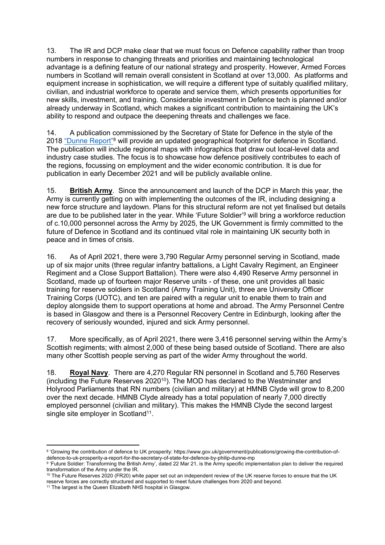13. The IR and DCP make clear that we must focus on Defence capability rather than troop numbers in response to changing threats and priorities and maintaining technological advantage is a defining feature of our national strategy and prosperity. However, Armed Forces numbers in Scotland will remain overall consistent in Scotland at over 13,000. As platforms and equipment increase in sophistication, we will require a different type of suitably qualified military, civilian, and industrial workforce to operate and service them, which presents opportunities for new skills, investment, and training. Considerable investment in Defence tech is planned and/or already underway in Scotland, which makes a significant contribution to maintaining the UK's ability to respond and outpace the deepening threats and challenges we face.

14. A publication commissioned by the Secretary of State for Defence in the style of the 2018 ["Dunne](https://www.gov.uk/government/publications/growing-the-contribution-of-defence-to-uk-prosperity-a-report-for-the-secretary-of-state-for-defence-by-philip-dunne-mp) [Report"](https://www.gov.uk/government/publications/growing-the-contribution-of-defence-to-uk-prosperity-a-report-for-the-secretary-of-state-for-defence-by-philip-dunne-mp)<sup>8</sup> will provide an updated geographical footprint for defence in Scotland. The publication will include regional maps with infographics that draw out local-level data and industry case studies. The focus is to showcase how defence positively contributes to each of the regions, focussing on employment and the wider economic contribution. It is due for publication in early December 2021 and will be publicly available online.

15. **British Army**. Since the announcement and launch of the DCP in March this year, the Army is currently getting on with implementing the outcomes of the IR, including designing a new force structure and laydown. Plans for this structural reform are not yet finalised but details are due to be published later in the year. While 'Future Soldier'<sup>9</sup> will bring a workforce reduction of c.10,000 personnel across the Army by 2025, the UK Government is firmly committed to the future of Defence in Scotland and its continued vital role in maintaining UK security both in peace and in times of crisis.

16. As of April 2021, there were 3,790 Regular Army personnel serving in Scotland, made up of six major units (three regular infantry battalions, a Light Cavalry Regiment, an Engineer Regiment and a Close Support Battalion). There were also 4,490 Reserve Army personnel in Scotland, made up of fourteen major Reserve units - of these, one unit provides all basic training for reserve soldiers in Scotland (Army Training Unit), three are University Officer Training Corps (UOTC), and ten are paired with a regular unit to enable them to train and deploy alongside them to support operations at home and abroad. The Army Personnel Centre is based in Glasgow and there is a Personnel Recovery Centre in Edinburgh, looking after the recovery of seriously wounded, injured and sick Army personnel.

17. More specifically, as of April 2021, there were 3,416 personnel serving within the Army's Scottish regiments; with almost 2,000 of these being based outside of Scotland. There are also many other Scottish people serving as part of the wider Army throughout the world.

18. **Royal Navy**. There are 4,270 Regular RN personnel in Scotland and 5,760 Reserves (including the Future Reserves 2020<sup>10</sup>). The MOD has declared to the Westminster and Holyrood Parliaments that RN numbers (civilian and military) at HMNB Clyde will grow to 8,200 over the next decade. HMNB Clyde already has a total population of nearly 7,000 directly employed personnel (civilian and military). This makes the HMNB Clyde the second largest single site employer in Scotland<sup>11</sup>.

<sup>&</sup>lt;sup>8</sup> 'Growing the contribution of defence to UK prosperity: https://www.gov.uk/government/publications/growing-the-contribution-ofdefence-to-uk-prosperity-a-report-for-the-secretary-of-state-for-defence-by-philip-dunne-mp

<sup>9</sup> 'Future Soldier: Transforming the British Army', dated 22 Mar 21, is the Army specific implementation plan to deliver the required transformation of the Army under the IR.

<sup>&</sup>lt;sup>10</sup> The Future Reserves 2020 (FR20) white paper set out an independent review of the UK reserve forces to ensure that the UK reserve forces are correctly structured and supported to meet future challenges from 2020 and beyond.

<sup>&</sup>lt;sup>11</sup> The largest is the Queen Elizabeth NHS hospital in Glasgow.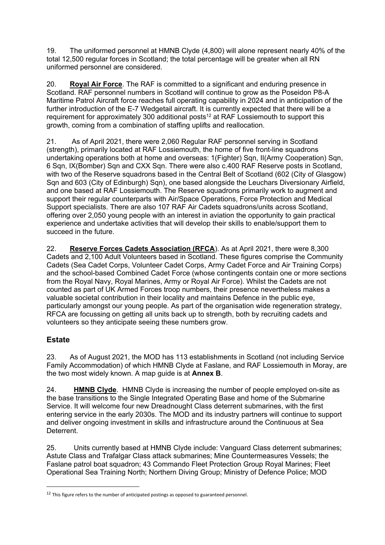19. The uniformed personnel at HMNB Clyde (4,800) will alone represent nearly 40% of the total 12,500 regular forces in Scotland; the total percentage will be greater when all RN uniformed personnel are considered.

20. **Royal Air Force**. The RAF is committed to a significant and enduring presence in Scotland. RAF personnel numbers in Scotland will continue to grow as the Poseidon P8-A Maritime Patrol Aircraft force reaches full operating capability in 2024 and in anticipation of the further introduction of the E-7 Wedgetail aircraft. It is currently expected that there will be a requirement for approximately 300 additional posts<sup>12</sup> at RAF Lossiemouth to support this growth, coming from a combination of staffing uplifts and reallocation.

21. As of April 2021, there were 2,060 Regular RAF personnel serving in Scotland (strength), primarily located at RAF Lossiemouth, the home of five front-line squadrons undertaking operations both at home and overseas: 1(Fighter) Sqn, II(Army Cooperation) Sqn, 6 Sqn, IX(Bomber) Sqn and CXX Sqn. There were also c.400 RAF Reserve posts in Scotland, with two of the Reserve squadrons based in the Central Belt of Scotland (602 (City of Glasgow) Sqn and 603 (City of Edinburgh) Sqn), one based alongside the Leuchars Diversionary Airfield, and one based at RAF Lossiemouth. The Reserve squadrons primarily work to augment and support their regular counterparts with Air/Space Operations, Force Protection and Medical Support specialists. There are also 107 RAF Air Cadets squadrons/units across Scotland, offering over 2,050 young people with an interest in aviation the opportunity to gain practical experience and undertake activities that will develop their skills to enable/support them to succeed in the future.

22. **Reserve Forces Cadets Association (RFCA**). As at April 2021, there were 8,300 Cadets and 2,100 Adult Volunteers based in Scotland. These figures comprise the Community Cadets (Sea Cadet Corps, Volunteer Cadet Corps, Army Cadet Force and Air Training Corps) and the school-based Combined Cadet Force (whose contingents contain one or more sections from the Royal Navy, Royal Marines, Army or Royal Air Force). Whilst the Cadets are not counted as part of UK Armed Forces troop numbers, their presence nevertheless makes a valuable societal contribution in their locality and maintains Defence in the public eye, particularly amongst our young people. As part of the organisation wide regeneration strategy, RFCA are focussing on getting all units back up to strength, both by recruiting cadets and volunteers so they anticipate seeing these numbers grow.

## **Estate**

23. As of August 2021, the MOD has 113 establishments in Scotland (not including Service Family Accommodation) of which HMNB Clyde at Faslane, and RAF Lossiemouth in Moray, are the two most widely known. A map guide is at **Annex B**.

24. **HMNB Clyde**. HMNB Clyde is increasing the number of people employed on-site as the base transitions to the Single Integrated Operating Base and home of the Submarine Service. It will welcome four new Dreadnought Class deterrent submarines, with the first entering service in the early 2030s. The MOD and its industry partners will continue to support and deliver ongoing investment in skills and infrastructure around the Continuous at Sea **Deterrent** 

25. Units currently based at HMNB Clyde include: Vanguard Class deterrent submarines; Astute Class and Trafalgar Class attack submarines; Mine Countermeasures Vessels; the Faslane patrol boat squadron; 43 Commando Fleet Protection Group Royal Marines; Fleet Operational Sea Training North; Northern Diving Group; Ministry of Defence Police; MOD

<sup>&</sup>lt;sup>12</sup> This figure refers to the number of anticipated postings as opposed to guaranteed personnel.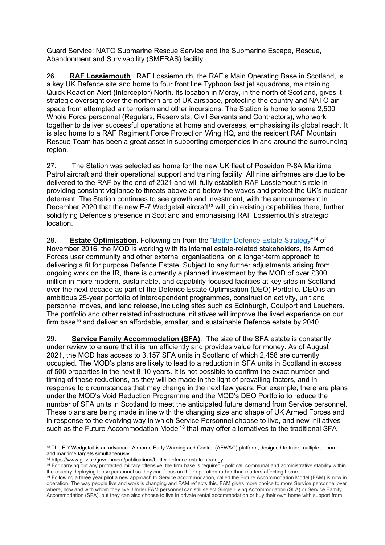Guard Service; NATO Submarine Rescue Service and the Submarine Escape, Rescue, Abandonment and Survivability (SMERAS) facility.

26. **RAF Lossiemouth**. RAF Lossiemouth, the RAF's Main Operating Base in Scotland, is a key UK Defence site and home to four front line Typhoon fast jet squadrons, maintaining Quick Reaction Alert (Interceptor) North. Its location in Moray, in the north of Scotland, gives it strategic oversight over the northern arc of UK airspace, protecting the country and NATO air space from attempted air terrorism and other incursions. The Station is home to some 2,500 Whole Force personnel (Regulars, Reservists, Civil Servants and Contractors), who work together to deliver successful operations at home and overseas, emphasising its global reach. It is also home to a RAF Regiment Force Protection Wing HQ, and the resident RAF Mountain Rescue Team has been a great asset in supporting emergencies in and around the surrounding region.

27. The Station was selected as home for the new UK fleet of Poseidon P-8A Maritime Patrol aircraft and their operational support and training facility. All nine airframes are due to be delivered to the RAF by the end of 2021 and will fully establish RAF Lossiemouth's role in providing constant vigilance to threats above and below the waves and protect the UK's nuclear deterrent. The Station continues to see growth and investment, with the announcement in December 2020 that the new E-7 Wedgetail aircraft<sup>13</sup> will join existing capabilities there, further solidifying Defence's presence in Scotland and emphasising RAF Lossiemouth's strategic location.

28. **[Estate](https://www.gov.uk/government/publications/better-defence-estate-strategy) Optimisation**. Following on from the ["Better](https://www.gov.uk/government/publications/better-defence-estate-strategy) [Defence](https://www.gov.uk/government/publications/better-defence-estate-strategy) Estate [Strategy"](https://www.gov.uk/government/publications/better-defence-estate-strategy)<sup>14</sup> of November 2016, the MOD is working with its internal estate-related stakeholders, its Armed Forces user community and other external organisations, on a longer-term approach to delivering a fit for purpose Defence Estate. Subject to any further adjustments arising from ongoing work on the IR, there is currently a planned investment by the MOD of over £300 million in more modern, sustainable, and capability-focused facilities at key sites in Scotland over the next decade as part of the Defence Estate Optimisation (DEO) Portfolio. DEO is an ambitious 25-year portfolio of interdependent programmes, construction activity, unit and personnel moves, and land release, including sites such as Edinburgh, Coulport and Leuchars. The portfolio and other related infrastructure initiatives will improve the lived experience on our firm base<sup>15</sup> and deliver an affordable, smaller, and sustainable Defence estate by 2040.

29. **Service Family Accommodation (SFA)**. The size of the SFA estate is constantly under review to ensure that it is run efficiently and provides value for money. As of August 2021, the MOD has access to 3,157 SFA units in Scotland of which 2,458 are currently occupied. The MOD's plans are likely to lead to a reduction in SFA units in Scotland in excess of 500 properties in the next 8-10 years. It is not possible to confirm the exact number and timing of these reductions, as they will be made in the light of prevailing factors, and in response to circumstances that may change in the next few years. For example, there are plans under the MOD's Void Reduction Programme and the MOD's DEO Portfolio to reduce the number of SFA units in Scotland to meet the anticipated future demand from Service personnel. These plans are being made in line with the changing size and shape of UK Armed Forces and in response to the evolving way in which Service Personnel choose to live, and new initiatives such as the Future Accommodation Model<sup>16</sup> that may offer alternatives to the traditional SFA

<sup>13</sup> The E-7 Wedgetail is an advanced Airborne Early Warning and Control (AEW&C) platform, designed to track multiple airborne and maritime targets simultaneously.

<sup>14</sup> https://www.gov.uk/government/publications/better-defence-estate-strategy

<sup>15</sup> For carrying out any protracted military offensive, the firm base is required - political, communal and administrative stability within the country deploying those personnel so they can focus on their operation rather than matters affecting home.

<sup>&</sup>lt;sup>16</sup> Following a three year pilot a new approach to Service accommodation, called the Future Accommodation Model (FAM) is now in operation. The way people live and work is changing and FAM reflects this. FAM gives more choice to more Service personnel over where, how and with whom they live. Under FAM personnel can still select Single Living Accommodation (SLA) or Service Family Accommodation (SFA), but they can also choose to live in private rental accommodation or buy their own home with support from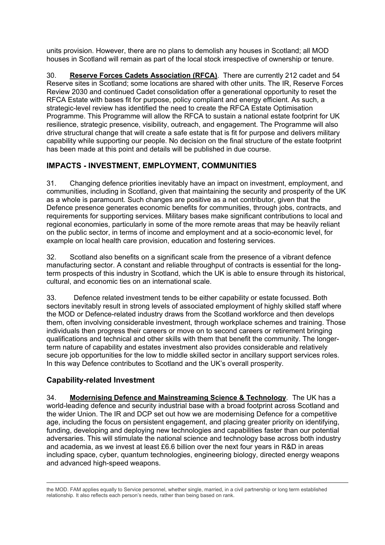units provision. However, there are no plans to demolish any houses in Scotland; all MOD houses in Scotland will remain as part of the local stock irrespective of ownership or tenure.

30. **Reserve Forces Cadets Association (RFCA)**. There are currently 212 cadet and 54 Reserve sites in Scotland; some locations are shared with other units. The IR, Reserve Forces Review 2030 and continued Cadet consolidation offer a generational opportunity to reset the RFCA Estate with bases fit for purpose, policy compliant and energy efficient. As such, a strategic-level review has identified the need to create the RFCA Estate Optimisation Programme. This Programme will allow the RFCA to sustain a national estate footprint for UK resilience, strategic presence, visibility, outreach, and engagement. The Programme will also drive structural change that will create a safe estate that is fit for purpose and delivers military capability while supporting our people. No decision on the final structure of the estate footprint has been made at this point and details will be published in due course.

## **IMPACTS - INVESTMENT, EMPLOYMENT, COMMUNITIES**

31. Changing defence priorities inevitably have an impact on investment, employment, and communities, including in Scotland, given that maintaining the security and prosperity of the UK as a whole is paramount. Such changes are positive as a net contributor, given that the Defence presence generates economic benefits for communities, through jobs, contracts, and requirements for supporting services. Military bases make significant contributions to local and regional economies, particularly in some of the more remote areas that may be heavily reliant on the public sector, in terms of income and employment and at a socio-economic level, for example on local health care provision, education and fostering services.

32. Scotland also benefits on a significant scale from the presence of a vibrant defence manufacturing sector. A constant and reliable throughput of contracts is essential for the longterm prospects of this industry in Scotland, which the UK is able to ensure through its historical, cultural, and economic ties on an international scale.

33. Defence related investment tends to be either capability or estate focussed. Both sectors inevitably result in strong levels of associated employment of highly skilled staff where the MOD or Defence-related industry draws from the Scotland workforce and then develops them, often involving considerable investment, through workplace schemes and training. Those individuals then progress their careers or move on to second careers or retirement bringing qualifications and technical and other skills with them that benefit the community. The longerterm nature of capability and estates investment also provides considerable and relatively secure job opportunities for the low to middle skilled sector in ancillary support services roles. In this way Defence contributes to Scotland and the UK's overall prosperity.

## **Capability-related Investment**

34. **Modernising Defence and Mainstreaming Science & Technology**. The UK has a world-leading defence and security industrial base with a broad footprint across Scotland and the wider Union. The IR and DCP set out how we are modernising Defence for a competitive age, including the focus on persistent engagement, and placing greater priority on identifying, funding, developing and deploying new technologies and capabilities faster than our potential adversaries. This will stimulate the national science and technology base across both industry and academia, as we invest at least £6.6 billion over the next four years in R&D in areas including space, cyber, quantum technologies, engineering biology, directed energy weapons and advanced high-speed weapons.

the MOD. FAM applies equally to Service personnel, whether single, married, in a civil partnership or long term established relationship. It also reflects each person's needs, rather than being based on rank.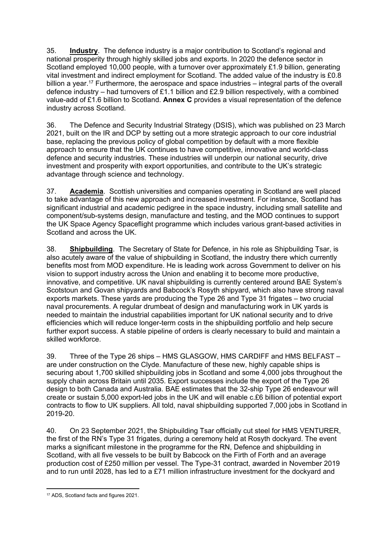35. **Industry**. The defence industry is a major contribution to Scotland's regional and national prosperity through highly skilled jobs and exports. In 2020 the defence sector in Scotland employed 10,000 people, with a turnover over approximately £1.9 billion, generating vital investment and indirect employment for Scotland. The added value of the industry is £0.8 billion a year.<sup>17</sup> Furthermore, the aerospace and space industries – integral parts of the overall defence industry – had turnovers of £1.1 billion and £2.9 billion respectively, with a combined value-add of £1.6 billion to Scotland. **Annex C** provides a visual representation of the defence industry across Scotland.

36. The Defence and Security Industrial Strategy (DSIS), which was published on 23 March 2021, built on the IR and DCP by setting out a more strategic approach to our core industrial base, replacing the previous policy of global competition by default with a more flexible approach to ensure that the UK continues to have competitive, innovative and world-class defence and security industries. These industries will underpin our national security, drive investment and prosperity with export opportunities, and contribute to the UK's strategic advantage through science and technology.

37. **Academia**. Scottish universities and companies operating in Scotland are well placed to take advantage of this new approach and increased investment. For instance, Scotland has significant industrial and academic pedigree in the space industry, including small satellite and component/sub-systems design, manufacture and testing, and the MOD continues to support the UK Space Agency Spaceflight programme which includes various grant-based activities in Scotland and across the UK.

38. **Shipbuilding**. The Secretary of State for Defence, in his role as Shipbuilding Tsar, is also acutely aware of the value of shipbuilding in Scotland, the industry there which currently benefits most from MOD expenditure. He is leading work across Government to deliver on his vision to support industry across the Union and enabling it to become more productive, innovative, and competitive. UK naval shipbuilding is currently centered around BAE System's Scotstoun and Govan shipyards and Babcock's Rosyth shipyard, which also have strong naval exports markets. These yards are producing the Type 26 and Type 31 frigates – two crucial naval procurements. A regular drumbeat of design and manufacturing work in UK yards is needed to maintain the industrial capabilities important for UK national security and to drive efficiencies which will reduce longer-term costs in the shipbuilding portfolio and help secure further export success. A stable pipeline of orders is clearly necessary to build and maintain a skilled workforce.

39. Three of the Type 26 ships – HMS GLASGOW, HMS CARDIFF and HMS BELFAST – are under construction on the Clyde. Manufacture of these new, highly capable ships is securing about 1,700 skilled shipbuilding jobs in Scotland and some 4,000 jobs throughout the supply chain across Britain until 2035. Export successes include the export of the Type 26 design to both Canada and Australia. BAE estimates that the 32-ship Type 26 endeavour will create or sustain 5,000 export-led jobs in the UK and will enable c.£6 billion of potential export contracts to flow to UK suppliers. All told, naval shipbuilding supported 7,000 jobs in Scotland in 2019-20.

40. On 23 September 2021, the Shipbuilding Tsar officially cut steel for HMS VENTURER, the first of the RN's Type 31 frigates, during a ceremony held at Rosyth dockyard. The event marks a significant milestone in the programme for the RN, Defence and shipbuilding in Scotland, with all five vessels to be built by Babcock on the Firth of Forth and an average production cost of £250 million per vessel. The Type-31 contract, awarded in November 2019 and to run until 2028, has led to a £71 million infrastructure investment for the dockyard and

<sup>17</sup> ADS, Scotland facts and figures 2021.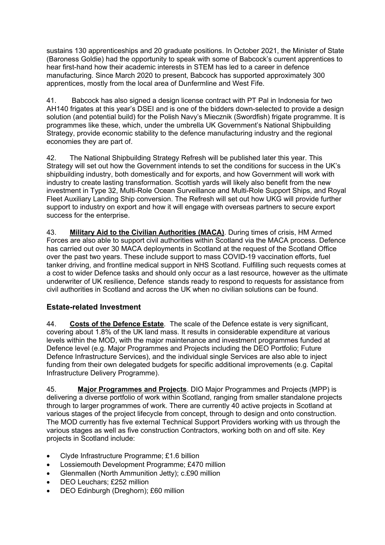sustains 130 apprenticeships and 20 graduate positions. In October 2021, the Minister of State (Baroness Goldie) had the opportunity to speak with some of Babcock's current apprentices to hear first-hand how their academic interests in STEM has led to a career in defence manufacturing. Since March 2020 to present, Babcock has supported approximately 300 apprentices, mostly from the local area of Dunfermline and West Fife.

41. Babcock has also signed a design license contract with PT Pal in Indonesia for two AH140 frigates at this year's DSEI and is one of the bidders down-selected to provide a design solution (and potential build) for the Polish Navy's Miecznik (Swordfish) frigate programme. It is programmes like these, which, under the umbrella UK Government's National Shipbuilding Strategy, provide economic stability to the defence manufacturing industry and the regional economies they are part of.

42. The National Shipbuilding Strategy Refresh will be published later this year. This Strategy will set out how the Government intends to set the conditions for success in the UK's shipbuilding industry, both domestically and for exports, and how Government will work with industry to create lasting transformation. Scottish yards will likely also benefit from the new investment in Type 32, Multi-Role Ocean Surveillance and Multi-Role Support Ships, and Royal Fleet Auxiliary Landing Ship conversion. The Refresh will set out how UKG will provide further support to industry on export and how it will engage with overseas partners to secure export success for the enterprise.

43. **Military Aid to the Civilian Authorities (MACA)**. During times of crisis, HM Armed Forces are also able to support civil authorities within Scotland via the MACA process. Defence has carried out over 30 MACA deployments in Scotland at the request of the Scotland Office over the past two years. These include support to mass COVID-19 vaccination efforts, fuel tanker driving, and frontline medical support in NHS Scotland. Fulfilling such requests comes at a cost to wider Defence tasks and should only occur as a last resource, however as the ultimate underwriter of UK resilience, Defence stands ready to respond to requests for assistance from civil authorities in Scotland and across the UK when no civilian solutions can be found.

## **Estate-related Investment**

44. **Costs of the Defence Estate**. The scale of the Defence estate is very significant, covering about 1.8% of the UK land mass. It results in considerable expenditure at various levels within the MOD, with the major maintenance and investment programmes funded at Defence level (e.g. Major Programmes and Projects including the DEO Portfolio; Future Defence Infrastructure Services), and the individual single Services are also able to inject funding from their own delegated budgets for specific additional improvements (e.g. Capital Infrastructure Delivery Programme).

45. **Major Programmes and Projects**. DIO Major Programmes and Projects (MPP) is delivering a diverse portfolio of work within Scotland, ranging from smaller standalone projects through to larger programmes of work. There are currently 40 active projects in Scotland at various stages of the project lifecycle from concept, through to design and onto construction. The MOD currently has five external Technical Support Providers working with us through the various stages as well as five construction Contractors, working both on and off site. Key projects in Scotland include:

- Clyde Infrastructure Programme; £1.6 billion
- Lossiemouth Development Programme; £470 million
- Glenmallen (North Ammunition Jetty); c.£90 million
- DEO Leuchars; £252 million
- DEO Edinburgh (Dreghorn); £60 million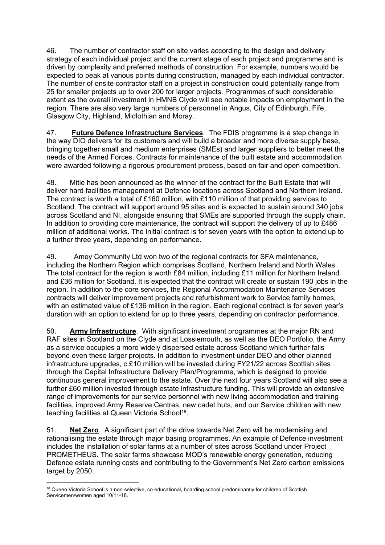46. The number of contractor staff on site varies according to the design and delivery strategy of each individual project and the current stage of each project and programme and is driven by complexity and preferred methods of construction. For example, numbers would be expected to peak at various points during construction, managed by each individual contractor. The number of onsite contractor staff on a project in construction could potentially range from 25 for smaller projects up to over 200 for larger projects. Programmes of such considerable extent as the overall investment in HMNB Clyde will see notable impacts on employment in the region. There are also very large numbers of personnel in Angus, City of Edinburgh, Fife, Glasgow City, Highland, Midlothian and Moray.

47. **Future Defence Infrastructure Services**. The FDIS programme is a step change in the way DIO delivers for its customers and will build a broader and more diverse supply base, bringing together small and medium enterprises (SMEs) and larger suppliers to better meet the needs of the Armed Forces. Contracts for maintenance of the built estate and accommodation were awarded following a rigorous procurement process, based on fair and open competition.

48. Mitie has been announced as the winner of the contract for the Built Estate that will deliver hard facilities management at Defence locations across Scotland and Northern Ireland. The contract is worth a total of £160 million, with £110 million of that providing services to Scotland. The contract will support around 95 sites and is expected to sustain around 340 jobs across Scotland and NI, alongside ensuring that SMEs are supported through the supply chain. In addition to providing core maintenance, the contract will support the delivery of up to £486 million of additional works. The initial contract is for seven years with the option to extend up to a further three years, depending on performance.

49. Amey Community Ltd won two of the regional contracts for SFA maintenance, including the Northern Region which comprises Scotland, Northern Ireland and North Wales. The total contract for the region is worth £84 million, including £11 million for Northern Ireland and £36 million for Scotland. It is expected that the contract will create or sustain 190 jobs in the region. In addition to the core services, the Regional Accommodation Maintenance Services contracts will deliver improvement projects and refurbishment work to Service family homes, with an estimated value of £136 million in the region. Each regional contract is for seven year's duration with an option to extend for up to three years, depending on contractor performance.

50. **Army Infrastructure**. With significant investment programmes at the major RN and RAF sites in Scotland on the Clyde and at Lossiemouth, as well as the DEO Portfolio, the Army as a service occupies a more widely dispersed estate across Scotland which further falls beyond even these larger projects. In addition to investment under DEO and other planned infrastructure upgrades, c.£10 million will be invested during FY21/22 across Scottish sites through the Capital Infrastructure Delivery Plan/Programme, which is designed to provide continuous general improvement to the estate. Over the next four years Scotland will also see a further £60 million invested through estate infrastructure funding. This will provide an extensive range of improvements for our service personnel with new living accommodation and training facilities, improved Army Reserve Centres, new cadet huts, and our Service children with new teaching facilities at Queen Victoria School<sup>18</sup>.

51. **Net Zero**. A significant part of the drive towards Net Zero will be modernising and rationalising the estate through major basing programmes. An example of Defence investment includes the installation of solar farms at a number of sites across Scotland under Project PROMETHEUS. The solar farms showcase MOD's renewable energy generation, reducing Defence estate running costs and contributing to the Government's Net Zero carbon emissions target by 2050.

<sup>&</sup>lt;sup>18</sup> Queen Victoria School is a non-selective, co-educational, boarding school predominantly for children of Scottish Servicemen/women aged 10/11-18.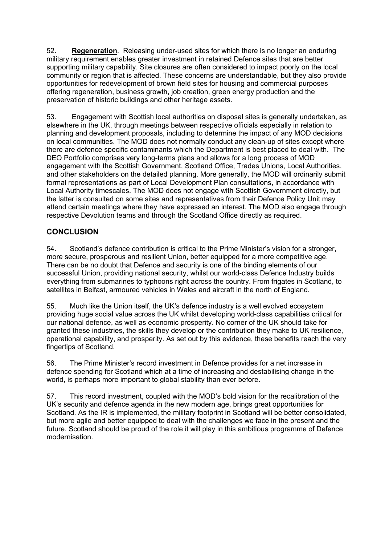52. **Regeneration**. Releasing under-used sites for which there is no longer an enduring military requirement enables greater investment in retained Defence sites that are better supporting military capability. Site closures are often considered to impact poorly on the local community or region that is affected. These concerns are understandable, but they also provide opportunities for redevelopment of brown field sites for housing and commercial purposes offering regeneration, business growth, job creation, green energy production and the preservation of historic buildings and other heritage assets.

53. Engagement with Scottish local authorities on disposal sites is generally undertaken, as elsewhere in the UK, through meetings between respective officials especially in relation to planning and development proposals, including to determine the impact of any MOD decisions on local communities. The MOD does not normally conduct any clean-up of sites except where there are defence specific contaminants which the Department is best placed to deal with. The DEO Portfolio comprises very long-terms plans and allows for a long process of MOD engagement with the Scottish Government, Scotland Office, Trades Unions, Local Authorities, and other stakeholders on the detailed planning. More generally, the MOD will ordinarily submit formal representations as part of Local Development Plan consultations, in accordance with Local Authority timescales. The MOD does not engage with Scottish Government directly, but the latter is consulted on some sites and representatives from their Defence Policy Unit may attend certain meetings where they have expressed an interest. The MOD also engage through respective Devolution teams and through the Scotland Office directly as required.

#### **CONCLUSION**

54. Scotland's defence contribution is critical to the Prime Minister's vision for a stronger, more secure, prosperous and resilient Union, better equipped for a more competitive age. There can be no doubt that Defence and security is one of the binding elements of our successful Union, providing national security, whilst our world-class Defence Industry builds everything from submarines to typhoons right across the country. From frigates in Scotland, to satellites in Belfast, armoured vehicles in Wales and aircraft in the north of England.

55. Much like the Union itself, the UK's defence industry is a well evolved ecosystem providing huge social value across the UK whilst developing world-class capabilities critical for our national defence, as well as economic prosperity. No corner of the UK should take for granted these industries, the skills they develop or the contribution they make to UK resilience, operational capability, and prosperity. As set out by this evidence, these benefits reach the very fingertips of Scotland.

56. The Prime Minister's record investment in Defence provides for a net increase in defence spending for Scotland which at a time of increasing and destabilising change in the world, is perhaps more important to global stability than ever before.

57. This record investment, coupled with the MOD's bold vision for the recalibration of the UK's security and defence agenda in the new modern age, brings great opportunities for Scotland. As the IR is implemented, the military footprint in Scotland will be better consolidated, but more agile and better equipped to deal with the challenges we face in the present and the future. Scotland should be proud of the role it will play in this ambitious programme of Defence modernisation.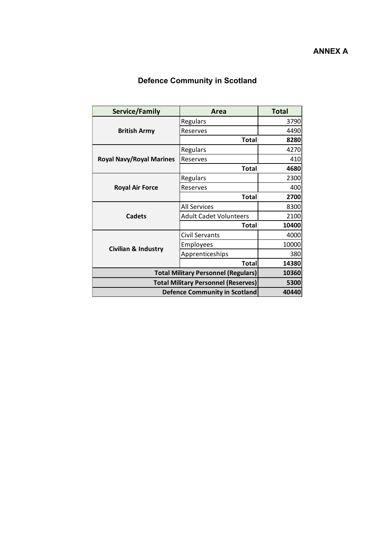# **Defence Community in Scotland**

| Service/Family                             | <b>Area</b>                   | <b>Total</b> |
|--------------------------------------------|-------------------------------|--------------|
| <b>British Army</b>                        | Regulars                      | 3790         |
|                                            | Reserves                      | 4490         |
|                                            | <b>Total</b>                  | 8280         |
| <b>Royal Navy/Royal Marines</b>            | Regulars                      | 4270         |
|                                            | Reserves                      | 410          |
|                                            | <b>Total</b>                  | 4680         |
| <b>Royal Air Force</b>                     | Regulars                      | 2300         |
|                                            | Reserves                      | 400          |
|                                            | <b>Total</b>                  | 2700         |
| <b>Cadets</b>                              | <b>All Services</b>           | 8300         |
|                                            | <b>Adult Cadet Volunteers</b> | 2100         |
|                                            | Total                         | 10400        |
| <b>Civilian &amp; Industry</b>             | <b>Civil Servants</b>         | 4000         |
|                                            | Employees                     | 10000        |
|                                            | Apprenticeships               | 380          |
|                                            | <b>Total</b>                  | 14380        |
| <b>Total Military Personnel (Regulars)</b> |                               | 10360        |
| <b>Total Military Personnel (Reserves)</b> |                               | 5300         |
| Defence Community in Scotland              |                               | 40440        |